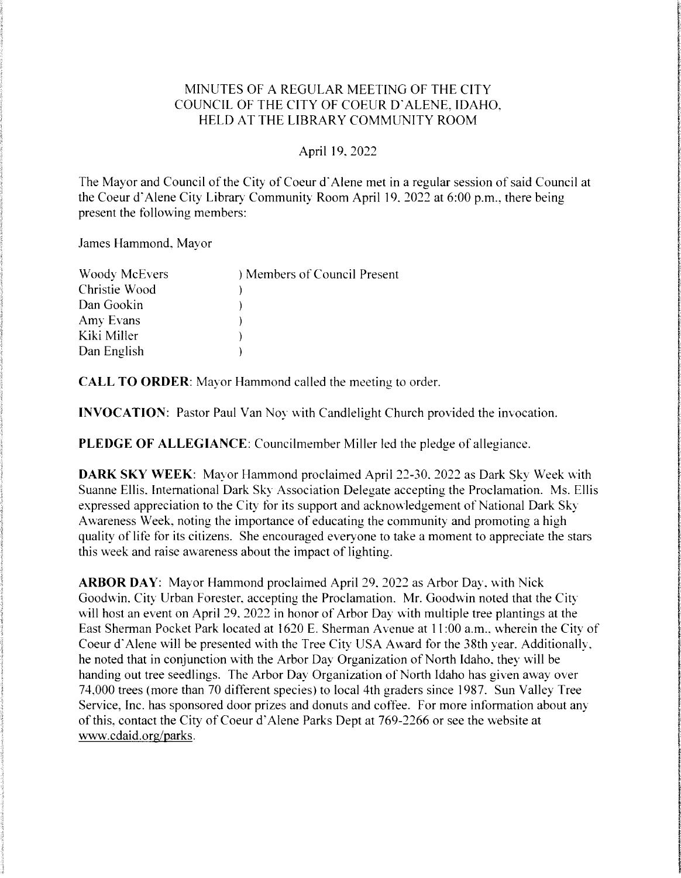# MINUTES OF A REGULAR MEETING OF THE CITY COUNCIL OF THE CITY OF COEUR D'ALENE, IDAHO. HELD AT THE LIBRARY COMMUNITY ROOM

#### April 19.2022

The Mayor and Council of the City of Coeur d'Alene met in a regular session of said Council at the Coeur d'Alene City Library Community Room April 19, 2022 at 6:00 p.m., there being present the following members:

James Hammond, Mayor

| <b>Woody McEvers</b> | ) Members of Council Present |
|----------------------|------------------------------|
| Christie Wood        |                              |
| Dan Gookin           |                              |
| Amy Evans            |                              |
| Kiki Miller          |                              |
| Dan English          |                              |

CALL TO ORDER: Mayor Hammond called the meeting to order.

**INVOCATION:** Pastor Paul Van Noy with Candlelight Church provided the invocation.

PLEDGE OF ALLEGIANCE: Councilmember Miller led the pledge of allegiance.

DARK SKY WEEK: Mayor Hammond proclaimed April 22-30, 2022 as Dark Sky Week with Suanne Ellis. International Dark Sky Association Delegate accepting the Proclamation. Ms. Ellis expressed appreciation to the City for its support and acknowledgement of National Dark Sky Awareness Week, noting the importance of educating the community and promoting a high quality of life for its citizens. She encouraged everyone to take a moment to appreciate the stars this week and raise awareness about the impact of lighting.

ARBOR DAY: Mayor Hammond proclaimed April 29, 2022 as Arbor Day, with Nick Goodwin, City Urban Forester, accepting the Proclamation. Mr. Goodwin noted that the City will host an event on April 29, 2022 in honor of Arbor Day with multiple tree plantings at the East Sherman Pocket Park located at 1620 E. Sherman Avenue at 11:00 a.m., wherein the City of Coeur d'Alene will be presented with the Tree City USA Award for the 38th year. Additionally, he noted that in conjunction with the Arbor Day Organization of North Idaho, they will be handing out tree seedlings. The Arbor Day Organization of North Idaho has given away over 74,000 trees (more than 70 different species) to local 4th graders since 1987. Sun Valley Tree Service, Inc. has sponsored door prizes and donuts and coffee. For more information about any of this, contact the City of Coeur d'Alene Parks Dept at 769-2266 or see the website at www.cdaidorg/parks.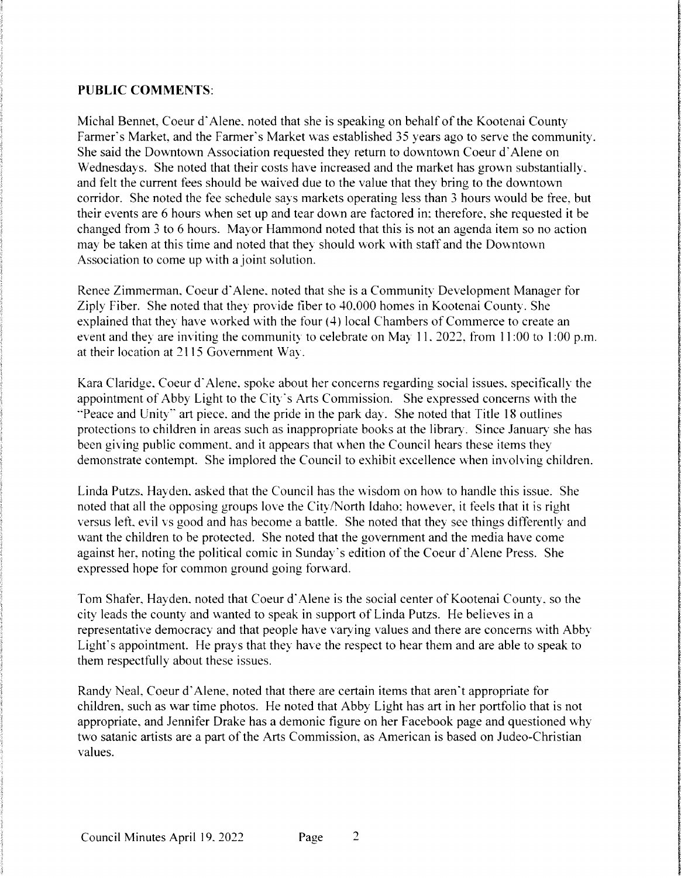#### PUBLIC COMMENTS:

Michal Bennet, Coeur d'Alene, noted that she is speaking on behalf of the Kootenai County Farmer's Market, and the Farmer's Market was established 35 years ago to serve the community. She said the Downtown Association requested they return to downtown Coeur d'Alene on Wednesdays. She noted that their costs have increased and the market has grown substantially. and felt the current fees should be waived due to the value that they bring to the downtown corridor. She noted the fee schedule says markets operating less than 3 hours would be free, but their events are 6 hours when set up and tear down are factored in; therefore, she requested it be changed from 3 to 6 hours. Mayor Hammond noted that this is not an agenda item so no action may be taken at this time and noted that they should work with staff and the Downtown Association to come up with a joint solution.

Renee Zimmerman, Coeur d'Alene, noted that she is a Community Development Manager for Ziply Fiber. She noted that they provide fiber to 40.000 homes in Kootenai County. She explained that they have worked with the four (4) local Chambers of Commerce to create an event and they are inviting the community to celebrate on May 11, 2022, from 11:00 to 1:00 p.m. at their location at 2115 Government Way.

Kara Claridge. Coeur d'Alene. spoke about her concerns regarding social issues, specifically the appointment of Abby Light to the City's Arts Commission. She expressed concerns with the "Peace and Unity" art piece, and the pride in the park day. She noted that Title 18 outlines protections to children in areas such as inappropriate books at the library. Since January she has been giving public comment, and it appears that when the Council hears these items they demonstrate contempt. She implored the Council to exhibit excellence when involving children.

Linda Putzs, Hayden, asked that the Council has the wisdom on how to handle this issue. She noted that all the opposing groups love the City/North Idaho; however, it feels that it is right versus left, evil vs good and has become a battle. She noted that they see things differently and want the children to be protected. She noted that the government and the media have come against her, noting the political comic in Sunday's edition of the Coeur d'Alene Press. She expressed hope for common ground going forward.

Tom Shafer, Hayden, noted that Coeur d'Alene is the social center of Kootenai County, so the city leads the county and wanted to speak in support of Linda Putzs. He believes in a representative democracy and that people have varying values and there are concerns with Abby Light's appointment. He prays that they have the respect to hear them and are able to speak to them respectfully about these issues.

Randy Neal. Coeur d'Alene, noted that there are certain items that aren't appropriate for children, such as war time photos. He noted that Abby Light has art in her portfolio that is not appropriate, and Jennifer Drake has a demonic figure on her Facebook page and questioned why two satanic artists are a part of the Arts Commission, as American is based on Judeo-Christian values.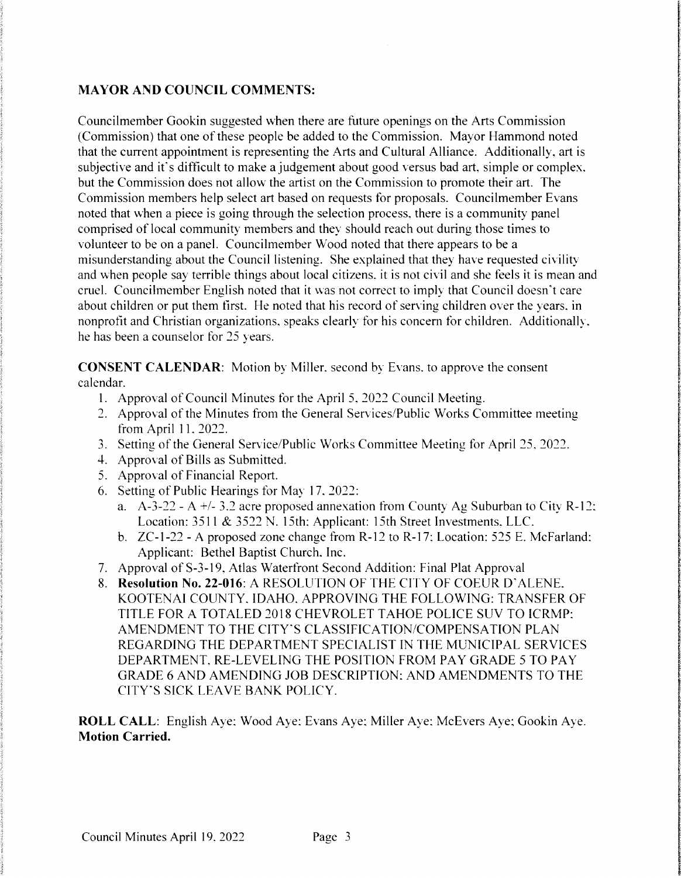# MAYOR AND COUNCIL COMMENTS:

Councilmember Gookin suggested when there are future openings on the Arts Commission (Commission) that one of these people be added to the Commission. Mayor Hammond noted that the current appointment is representing the Arts and Cultural Alliance. Additionally, art is subjective and it's difficult to make a judgement about good versus bad art, simple or complex. but the Commission does not allow the artist on the Commission to promote their art. The Commission members help select art based on requests for proposals. Councilmember Evans noted that when a piece is going through the selection process, there is a community panel comprised of local community members and they should reach out during those times to volunteer to be on a panel. Councilmember Wood noted that there appears to be a misunderstanding about the Council listening. She explained that they have requested civility and when people say terrible things about local citizens, it is not civil and she feels it is mean and cruel. Councilmember English noted that it was not correct to imply that Council doesn't care about children or put them first. He noted that his record of serving children over the years, in nonprofit and Christian organizations, speaks clearly for his concern for children. Additionally, he has been a counselor for 25 years.

**CONSENT CALENDAR:** Motion by Miller, second by Evans, to approve the consent calendar.

- 1. Approval of Council Minutes for the April 5, 2022 Council Meeting.
- 2. Approval of the Minutes from the General Services/Public Works Committee meeting from April 11.2022.
- 3. Setting of the General Service/Public Works Committee Meeting for April 25, 2022.
- 4. Approval of Bills as Submitted.
- 5. Approval of Financial Report.
- 6. Setting of Public Hearings for May 17, 2022:
	- a.  $A-3-22 A$  +/- 3.2 acre proposed annexation from County Ag Suburban to City R-12: Location:  $3511 & 3522$  N. 15th: Applicant: 15th Street Investments. LLC.
	- b. ZC-1-22 A proposed zone change from R-12 to R-17: Location: 525 E. McFarland: Applicant: Bethel Baptist Church. Inc.
- 7. Approval of S-3-19, Atlas Waterfront Second Addition: Final Plat Approval
- 8. Resolution No. 22-016: A RESOLUTION OF THE CITY OF COEUR D'ALENE. KOOTENAI COUNTY. IDAHO. APPROVINGTHE FOLLOWING: TRANSFEROF TITLE FORA TOTALED 2018CHEVROLETTAHOE POLICESUV TO ICRMP: AMENDMENT TO THE CITY'S CLASSIFICATION/COMPENSATION PLAN REGARDING THE DEPARTMENT SPECIALIST IN THE MUNICIPAL SERVICES DEPARTMENT. RE-LEVELING THE POSITION FROM PAY GRADE 5 TO PAY GRADE6 AND AMENDING JOBDESCRIPTION:AND AMENDMENTS TO THE CITY'S SICK LEAVE BANK POLICY.

ROLL CALL: English Aye; Wood Aye: Evans Aye; Miller Aye; McEvers Aye; Gookin Aye. Motion Carried.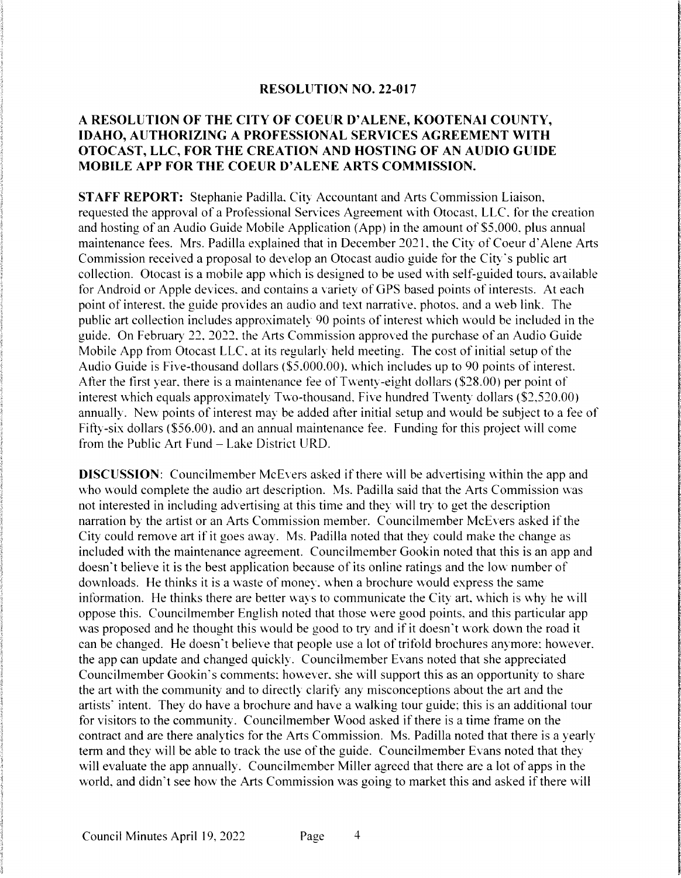#### RESOLUTION NO. 22-017

# A RESOLUTION OF THE CITY OF COEUR D'ALENE, KOOTENAI COUNTY, IDAHO, AUTHORIZING A PROFESSIONAL SERVICES AGREEMENT WITH OTOCAST, LLC, FOR THE CREATION AND HOSTING OF AN AUDIO GUIDE MOBILE APP FOR THE COEUR D'ALENE ARTS COMMISSION.

STAFF REPORT: Stephanie Padilla. City Accountant and Arts Commission Liaison, requested the approval of a Professional Services Agreement with Otocast, LLC. for the creation and hosting of an Audio Guide Mobile Application (App) in the amount of \$5,000, plus annual maintenance fees. Mrs. Padilla explained that in December 2021, the City of Coeur d'Alene Arts Commission received a proposal to develop an Otocast audio guide for the City's public art collection. Otocast is a mobile app which is designed to be used with self-guided tours, available for Android or Apple devices, and contains a variety of GPS based points of interests. At each point of interest, the guide provides an audio and text narrative, photos, and a web link. The public art collection includes approximately 90 points of interest which would be included in the guide. On February 22, 2022, the Arts Commission approved the purchase of an Audio Guide Mobile App from Otocast LLC, at its regularly held meeting. The cost of initial setup of the Audio Guide is Five-thousand dollars (\$5,000.00), which includes up to 90 points of interest. After the first year, there is a maintenance fee of Twenty-eight dollars (\$28.00) per point of interest which equals approximately Two-thousand, Five hundred Twenty dollars  $(\$2,520.00)$ annually. New points of interest may be added after initial setup and would be subject to a fee of Fifty-six dollars (\$56.00), and an annual maintenance fee. Funding for this project will come from the Public Art Fund – Lake District URD.

**DISCUSSION:** Councilmember McEvers asked if there will be advertising within the app and who would complete the audio art description. Ms. Padilla said that the Arts Commission was not interested in including advertising at this time and they will try to get the description narration by the artist or an Arts Commission member. Councilmember McEvers asked if the City could remove art if it goes away. Ms. Padilla noted that they could make the change as included with the maintenance agreement. Councilmember Gookin noted that this is an app and doesn't believe it is the best application because of its online ratings and the low number of downloads. He thinks it is a waste of money, when a brochure would express the same information. He thinks there are better ways to communicate the City art, which is why he will oppose this. Councilmember English noted that those were good points, and this particular app was proposed and he thought this would be good to try and if it doesn't work down the road it can be changed. He doesn't believe that people use a lot of trifold brochures anymore: however. the app can update and changed quickly. Councilmember Evans noted that she appreciated Councilmember Gookin's comments; however, she will support this as an opportunity to share the art with the community and to directly clarify any misconceptions about the art and the artists' intent. They do have a brochure and have a walking tour guide; this is an additional tour for visitors to the community. Councilmember Wood asked if there is a time frame on the contract and are there analytics for the Arts Commission. Ms. Padilla noted that there is a yearly term and they will be able to track the use of the guide. Councilmember Evans noted that they will evaluate the app annually. Councilmember Miller agreed that there are a lot of apps in the world, and didn't see how the Arts Commission was going to market this and asked if there will